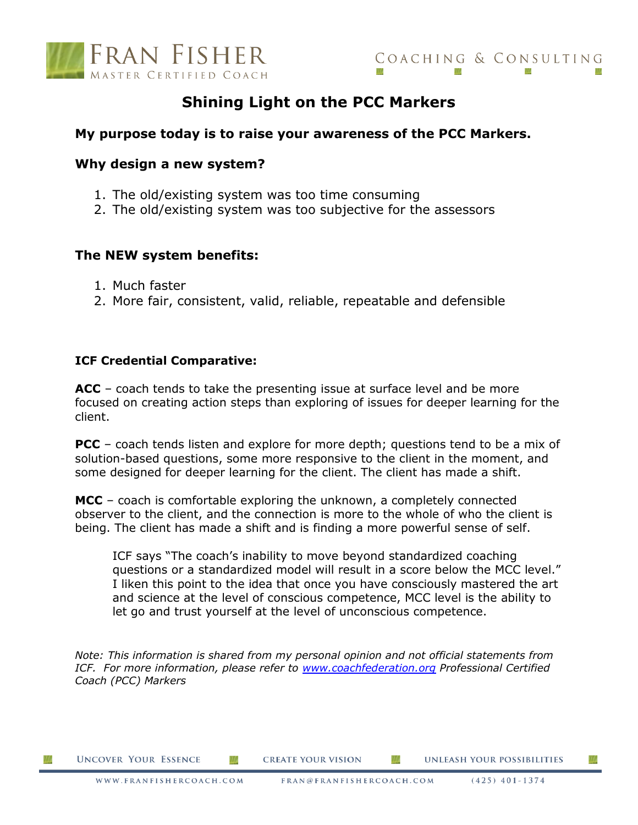

# **Shining Light on the PCC Markers**

# **My purpose today is to raise your awareness of the PCC Markers.**

# **Why design a new system?**

- 1. The old/existing system was too time consuming
- 2. The old/existing system was too subjective for the assessors

# **The NEW system benefits:**

- 1. Much faster
- 2. More fair, consistent, valid, reliable, repeatable and defensible

# **ICF Credential Comparative:**

**ACC** – coach tends to take the presenting issue at surface level and be more focused on creating action steps than exploring of issues for deeper learning for the client.

**PCC** – coach tends listen and explore for more depth; questions tend to be a mix of solution-based questions, some more responsive to the client in the moment, and some designed for deeper learning for the client. The client has made a shift.

**MCC** – coach is comfortable exploring the unknown, a completely connected observer to the client, and the connection is more to the whole of who the client is being. The client has made a shift and is finding a more powerful sense of self.

ICF says "The coach's inability to move beyond standardized coaching questions or a standardized model will result in a score below the MCC level." I liken this point to the idea that once you have consciously mastered the art and science at the level of conscious competence, MCC level is the ability to let go and trust yourself at the level of unconscious competence.

*Note: This information is shared from my personal opinion and not official statements from ICF. For more information, please refer to [www.coachfederation.org](http://www.coachfederation.org/) Professional Certified Coach (PCC) Markers* 

Ш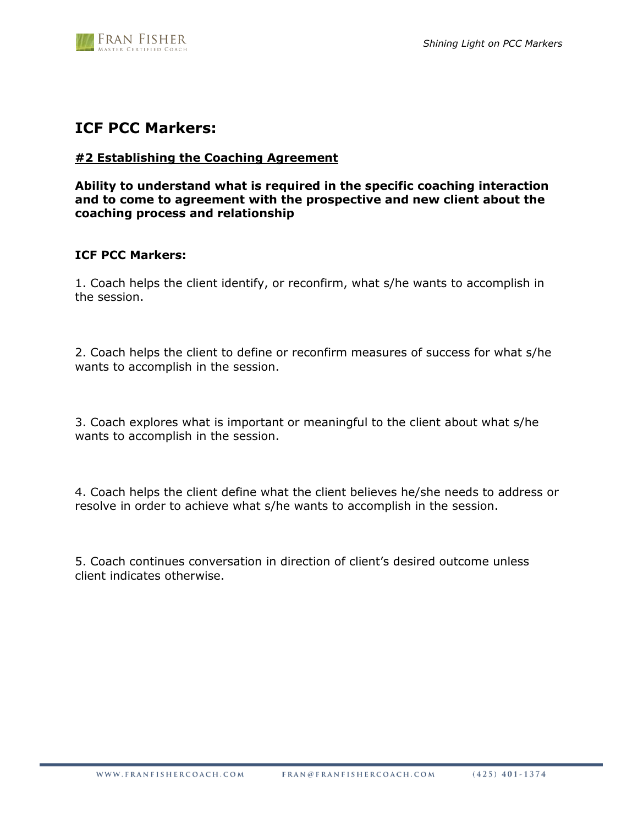

# **ICF PCC Markers:**

# **#2 Establishing the Coaching Agreement**

**Ability to understand what is required in the specific coaching interaction and to come to agreement with the prospective and new client about the coaching process and relationship**

# **ICF PCC Markers:**

1. Coach helps the client identify, or reconfirm, what s/he wants to accomplish in the session.

2. Coach helps the client to define or reconfirm measures of success for what s/he wants to accomplish in the session.

3. Coach explores what is important or meaningful to the client about what s/he wants to accomplish in the session.

4. Coach helps the client define what the client believes he/she needs to address or resolve in order to achieve what s/he wants to accomplish in the session.

5. Coach continues conversation in direction of client's desired outcome unless client indicates otherwise.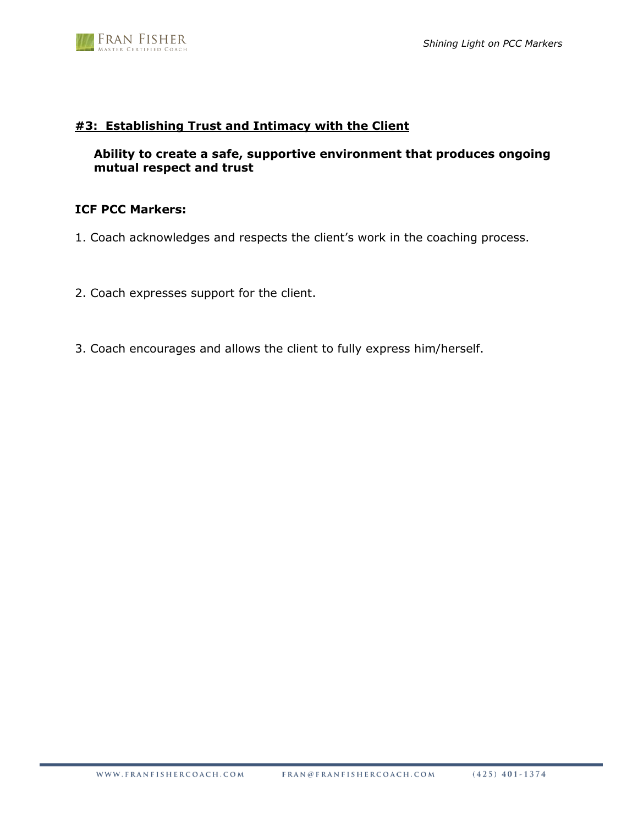

# **#3: Establishing Trust and Intimacy with the Client**

# **Ability to create a safe, supportive environment that produces ongoing mutual respect and trust**

# **ICF PCC Markers:**

- 1. Coach acknowledges and respects the client's work in the coaching process.
- 2. Coach expresses support for the client.
- 3. Coach encourages and allows the client to fully express him/herself.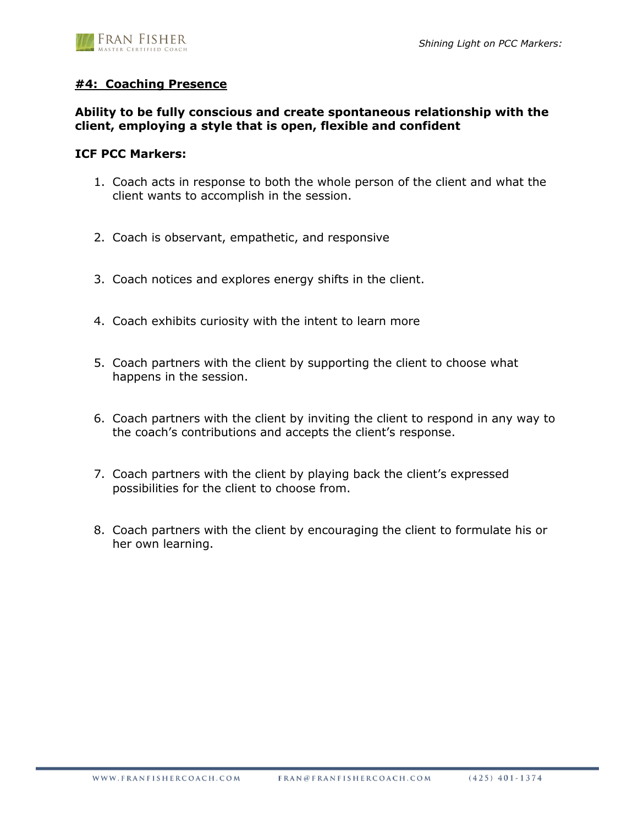

# **#4: Coaching Presence**

# **Ability to be fully conscious and create spontaneous relationship with the client, employing a style that is open, flexible and confident**

#### **ICF PCC Markers:**

- 1. Coach acts in response to both the whole person of the client and what the client wants to accomplish in the session.
- 2. Coach is observant, empathetic, and responsive
- 3. Coach notices and explores energy shifts in the client.
- 4. Coach exhibits curiosity with the intent to learn more
- 5. Coach partners with the client by supporting the client to choose what happens in the session.
- 6. Coach partners with the client by inviting the client to respond in any way to the coach's contributions and accepts the client's response.
- 7. Coach partners with the client by playing back the client's expressed possibilities for the client to choose from.
- 8. Coach partners with the client by encouraging the client to formulate his or her own learning.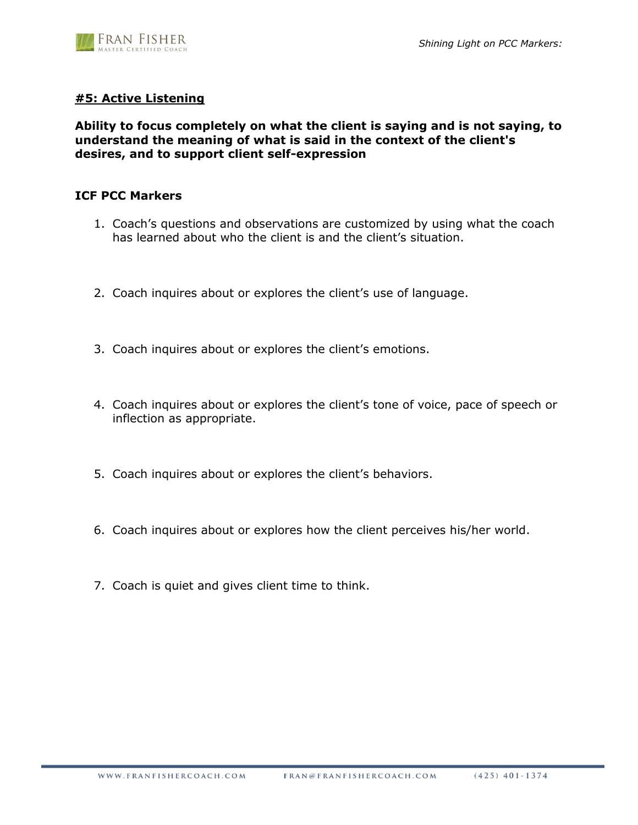

# **#5: Active Listening**

# **Ability to focus completely on what the client is saying and is not saying, to understand the meaning of what is said in the context of the client's desires, and to support client self-expression**

# **ICF PCC Markers**

- 1. Coach's questions and observations are customized by using what the coach has learned about who the client is and the client's situation.
- 2. Coach inquires about or explores the client's use of language.
- 3. Coach inquires about or explores the client's emotions.
- 4. Coach inquires about or explores the client's tone of voice, pace of speech or inflection as appropriate.
- 5. Coach inquires about or explores the client's behaviors.
- 6. Coach inquires about or explores how the client perceives his/her world.
- 7. Coach is quiet and gives client time to think.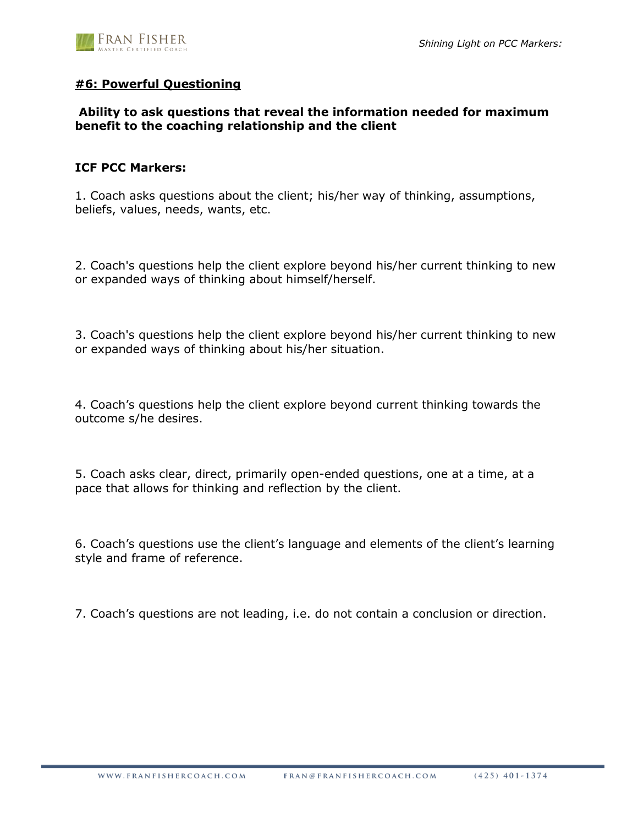

# **#6: Powerful Questioning**

# **Ability to ask questions that reveal the information needed for maximum benefit to the coaching relationship and the client**

# **ICF PCC Markers:**

1. Coach asks questions about the client; his/her way of thinking, assumptions, beliefs, values, needs, wants, etc.

2. Coach's questions help the client explore beyond his/her current thinking to new or expanded ways of thinking about himself/herself.

3. Coach's questions help the client explore beyond his/her current thinking to new or expanded ways of thinking about his/her situation.

4. Coach's questions help the client explore beyond current thinking towards the outcome s/he desires.

5. Coach asks clear, direct, primarily open-ended questions, one at a time, at a pace that allows for thinking and reflection by the client.

6. Coach's questions use the client's language and elements of the client's learning style and frame of reference.

7. Coach's questions are not leading, i.e. do not contain a conclusion or direction.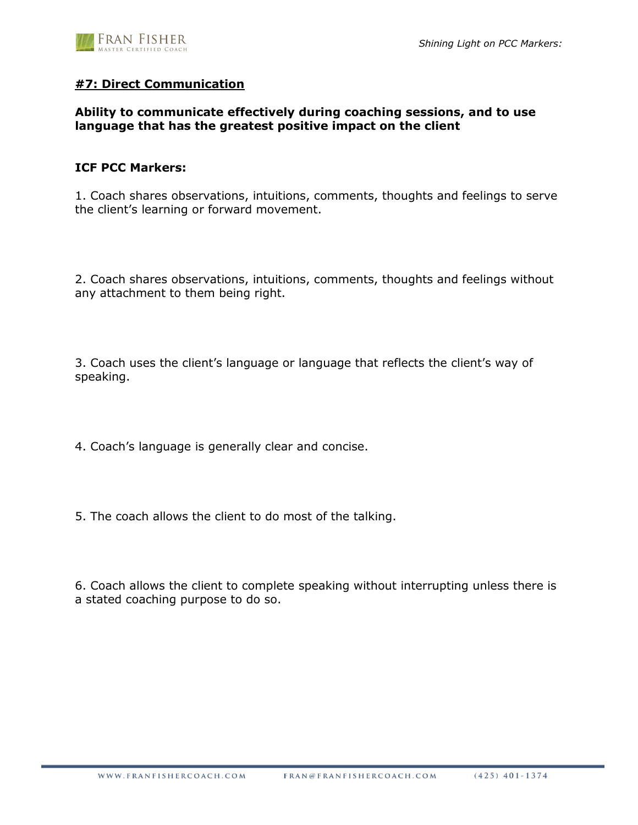

# **#7: Direct Communication**

# **Ability to communicate effectively during coaching sessions, and to use language that has the greatest positive impact on the client**

# **ICF PCC Markers:**

1. Coach shares observations, intuitions, comments, thoughts and feelings to serve the client's learning or forward movement.

2. Coach shares observations, intuitions, comments, thoughts and feelings without any attachment to them being right.

3. Coach uses the client's language or language that reflects the client's way of speaking.

4. Coach's language is generally clear and concise.

5. The coach allows the client to do most of the talking.

6. Coach allows the client to complete speaking without interrupting unless there is a stated coaching purpose to do so.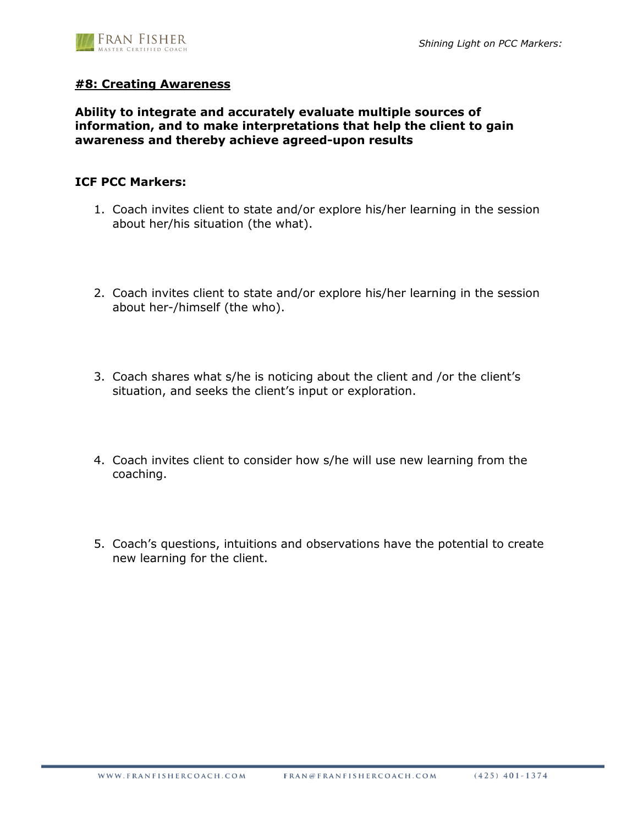# **#8: Creating Awareness**

**Ability to integrate and accurately evaluate multiple sources of information, and to make interpretations that help the client to gain awareness and thereby achieve agreed-upon results**

#### **ICF PCC Markers:**

- 1. Coach invites client to state and/or explore his/her learning in the session about her/his situation (the what).
- 2. Coach invites client to state and/or explore his/her learning in the session about her-/himself (the who).
- 3. Coach shares what s/he is noticing about the client and /or the client's situation, and seeks the client's input or exploration.
- 4. Coach invites client to consider how s/he will use new learning from the coaching.
- 5. Coach's questions, intuitions and observations have the potential to create new learning for the client.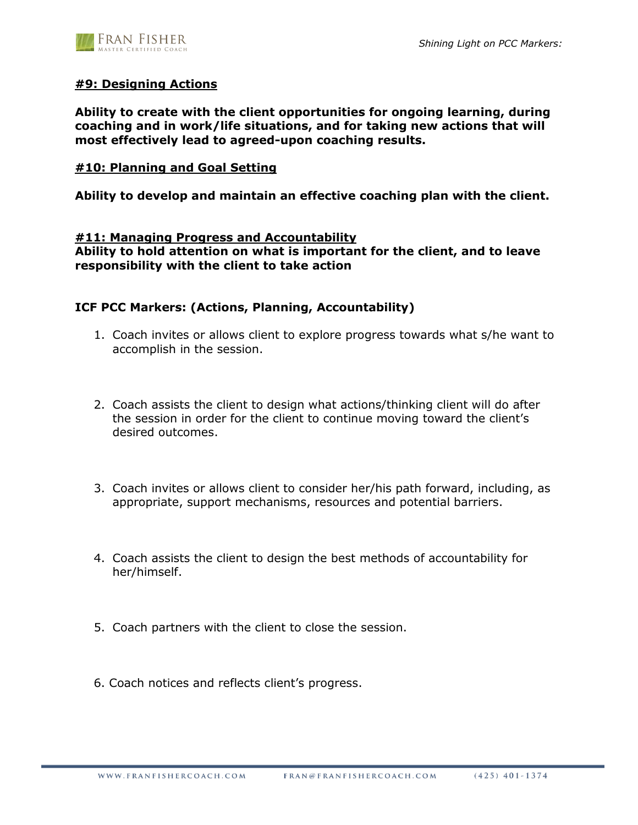

# **#9: Designing Actions**

**Ability to create with the client opportunities for ongoing learning, during coaching and in work/life situations, and for taking new actions that will most effectively lead to agreed-upon coaching results.**

# **#10: Planning and Goal Setting**

**Ability to develop and maintain an effective coaching plan with the client.**

#### **#11: Managing Progress and Accountability**

**Ability to hold attention on what is important for the client, and to leave responsibility with the client to take action**

# **ICF PCC Markers: (Actions, Planning, Accountability)**

- 1. Coach invites or allows client to explore progress towards what s/he want to accomplish in the session.
- 2. Coach assists the client to design what actions/thinking client will do after the session in order for the client to continue moving toward the client's desired outcomes.
- 3. Coach invites or allows client to consider her/his path forward, including, as appropriate, support mechanisms, resources and potential barriers.
- 4. Coach assists the client to design the best methods of accountability for her/himself.
- 5. Coach partners with the client to close the session.
- 6. Coach notices and reflects client's progress.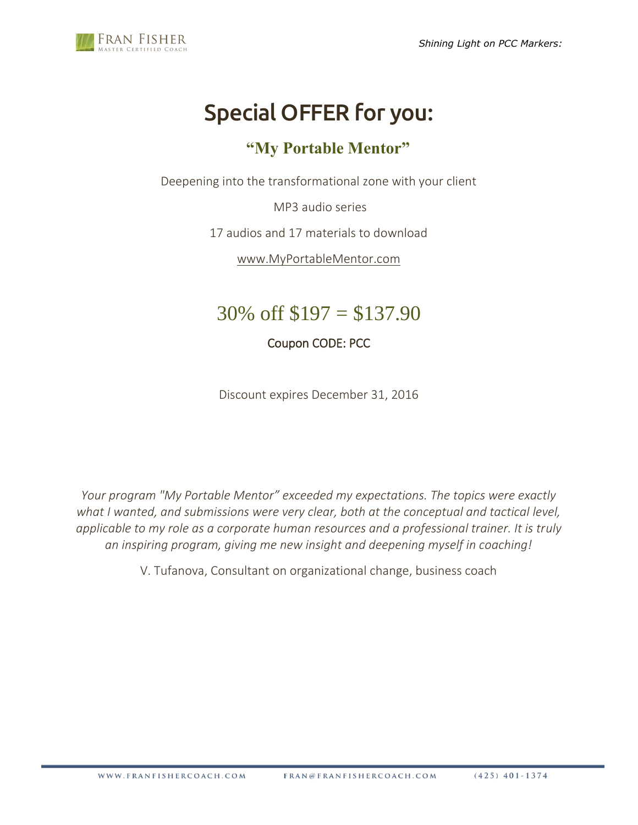

# Special OFFER for you:

# **"My Portable Mentor"**

Deepening into the transformational zone with your client

MP3 audio series

17 audios and 17 materials to download

[www.MyPortableMentor.com](http://www.myportablementor.com/)

# $30\% \text{ off } $197 = $137.90$

Coupon CODE: PCC

Discount expires December 31, 2016

*Your program "My Portable Mentor" exceeded my expectations. The topics were exactly what I wanted, and submissions were very clear, both at the conceptual and tactical level, applicable to my role as a corporate human resources and a professional trainer. It is truly an inspiring program, giving me new insight and deepening myself in coaching!* 

V. Tufanova, Consultant on organizational change, business coach